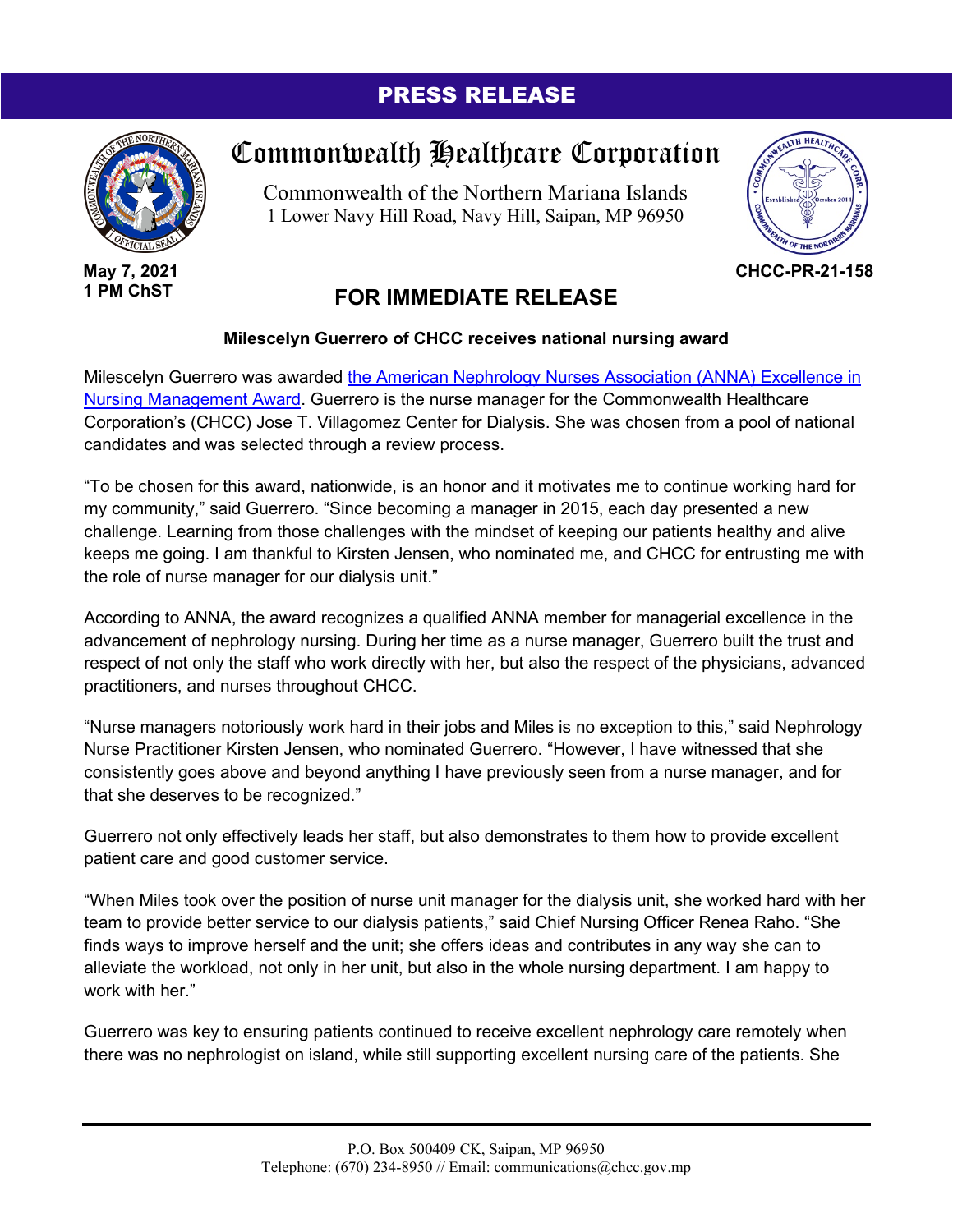## PRESS RELEASE



**May 7, 2021 1 PM ChST**

## Commonwealth Healthcare Corporation

Commonwealth of the Northern Mariana Islands 1 Lower Navy Hill Road, Navy Hill, Saipan, MP 96950



**CHCC-PR-21-158**

## **FOR IMMEDIATE RELEASE**

## **Milescelyn Guerrero of CHCC receives national nursing award**

Milescelyn Guerrero was awarded the [American Nephrology Nurses Association \(ANNA\) Excellence in](https://www.annanurse.org/2021-award-recipients)  [Nursing Management Award.](https://www.annanurse.org/2021-award-recipients) Guerrero is the nurse manager for the Commonwealth Healthcare Corporation's (CHCC) Jose T. Villagomez Center for Dialysis. She was chosen from a pool of national candidates and was selected through a review process.

"To be chosen for this award, nationwide, is an honor and it motivates me to continue working hard for my community," said Guerrero. "Since becoming a manager in 2015, each day presented a new challenge. Learning from those challenges with the mindset of keeping our patients healthy and alive keeps me going. I am thankful to Kirsten Jensen, who nominated me, and CHCC for entrusting me with the role of nurse manager for our dialysis unit."

According to ANNA, the award recognizes a qualified ANNA member for managerial excellence in the advancement of nephrology nursing. During her time as a nurse manager, Guerrero built the trust and respect of not only the staff who work directly with her, but also the respect of the physicians, advanced practitioners, and nurses throughout CHCC.

"Nurse managers notoriously work hard in their jobs and Miles is no exception to this," said Nephrology Nurse Practitioner Kirsten Jensen, who nominated Guerrero. "However, I have witnessed that she consistently goes above and beyond anything I have previously seen from a nurse manager, and for that she deserves to be recognized."

Guerrero not only effectively leads her staff, but also demonstrates to them how to provide excellent patient care and good customer service.

"When Miles took over the position of nurse unit manager for the dialysis unit, she worked hard with her team to provide better service to our dialysis patients," said Chief Nursing Officer Renea Raho. "She finds ways to improve herself and the unit; she offers ideas and contributes in any way she can to alleviate the workload, not only in her unit, but also in the whole nursing department. I am happy to work with her."

Guerrero was key to ensuring patients continued to receive excellent nephrology care remotely when there was no nephrologist on island, while still supporting excellent nursing care of the patients. She